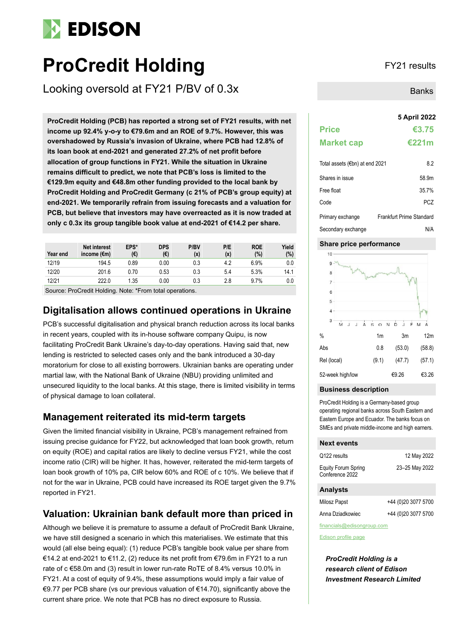# **EDISON**

# **ProCredit Holding** FY21 results

Looking oversold at FY21 P/BV of 0.3x

**5 April 2022 ProCredit Holding (PCB) has reported a strong set of FY21 results, with net income up 92.4% y-o-y to €79.6m and an ROE of 9.7%. However, this was overshadowed by Russia's invasion of Ukraine, where PCB had 12.8% of its loan book at end-2021 and generated 27.2% of net profit before allocation of group functions in FY21. While the situation in Ukraine remains difficult to predict, we note that PCB's loss is limited to the €129.9m equity and €48.8m other funding provided to the local bank by ProCredit Holding and ProCredit Germany (c 21% of PCB's group equity) at end-2021. We temporarily refrain from issuing forecasts and a valuation for PCB, but believe that investors may have overreacted as it is now traded at only c 0.3x its group tangible book value at end-2021 of €14.2 per share.**

| Year end | <b>Net interest</b><br>income $(\epsilon m)$ | EPS*<br>(€) | <b>DPS</b><br>(€) | P/BV<br>(x) | P/E<br>(x) | <b>ROE</b><br>(%) | Yield<br>(%) |
|----------|----------------------------------------------|-------------|-------------------|-------------|------------|-------------------|--------------|
| 12/19    | 194.5                                        | 0.89        | 0.00              | 0.3         | 4.2        | 6.9%              | 0.0          |
| 12/20    | 201.6                                        | 0.70        | 0.53              | 0.3         | 5.4        | 5.3%              | 14.1         |
| 12/21    | 222.0                                        | 1.35        | 0.00              | 0.3         | 2.8        | 9.7%              | 0.0          |
|          |                                              |             |                   |             |            |                   |              |

Source: ProCredit Holding. Note: \*From total operations.

## **Digitalisation allows continued operations in Ukraine**

PCB's successful digitalisation and physical branch reduction across its local banks in recent years, coupled with its in-house software company Quipu, is now facilitating ProCredit Bank Ukraine's day-to-day operations. Having said that, new lending is restricted to selected cases only and the bank introduced a 30-day moratorium for close to all existing borrowers. Ukrainian banks are operating under martial law, with the National Bank of Ukraine (NBU) providing unlimited and unsecured liquidity to the local banks. At this stage, there is limited visibility in terms of physical damage to loan collateral.

## **Management reiterated its mid-term targets**

Given the limited financial visibility in Ukraine, PCB's management refrained from issuing precise guidance for FY22, but acknowledged that loan book growth, return on equity (ROE) and capital ratios are likely to decline versus FY21, while the cost income ratio (CIR) will be higher. It has, however, reiterated the mid-term targets of loan book growth of 10% pa, CIR below 60% and ROE of c 10%. We believe that if not for the war in Ukraine, PCB could have increased its ROE target given the 9.7% reported in FY21.

## **Valuation: Ukrainian bank default more than priced in**

Although we believe it is premature to assume a default of ProCredit Bank Ukraine, we have still designed a scenario in which this materialises. We estimate that this would (all else being equal): (1) reduce PCB's tangible book value per share from €14.2 at end-2021 to €11.2, (2) reduce its net profit from €79.6m in FY21 to a run rate of c €58.0m and (3) result in lower run-rate RoTE of 8.4% versus 10.0% in FY21. At a cost of equity of 9.4%, these assumptions would imply a fair value of €9.77 per PCB share (vs our previous valuation of €14.70), significantly above the current share price. We note that PCB has no direct exposure to Russia.

Banks

# **Price €3.75 Market cap €221m** Total assets (€bn) at end 2021 8.2

| Shares in issue    | 58.9m                    |
|--------------------|--------------------------|
| Free float         | 35.7%                    |
| Code               | PC <sub>7</sub>          |
| Primary exchange   | Frankfurt Prime Standard |
| Secondary exchange | N/A                      |

## **Share price performance**



## **Business description**

ProCredit Holding is a Germany-based group operating regional banks across South Eastern and Eastern Europe and Ecuador. The banks focus on SMEs and private middle-income and high earners.

### **Next events**

| <b>Analysts</b>                        |                |
|----------------------------------------|----------------|
| Equity Forum Spring<br>Conference 2022 | 23-25 May 2022 |
| Q122 results                           | 12 May 2022    |
|                                        |                |

| Milosz Papst     | +44 (0)20 3077 5700 |
|------------------|---------------------|
| Anna Dziadkowiec | +44 (0)20 3077 5700 |

financials@edisongroup.com

[Edison profile page](https://www.edisongroup.com/company/procredit-holding/)

*ProCredit Holding is a research client of Edison Investment Research Limited*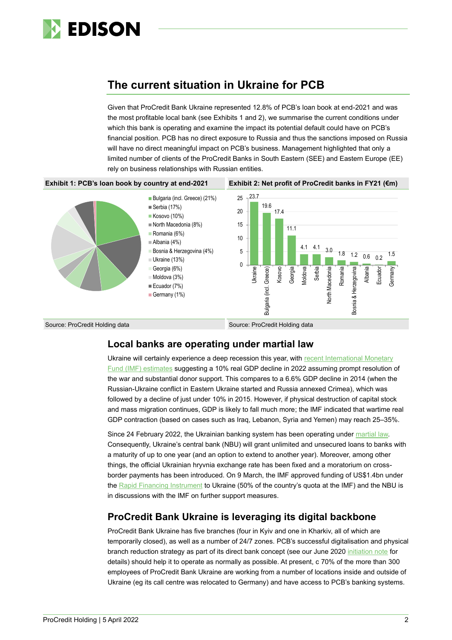

# **The current situation in Ukraine for PCB**

Given that ProCredit Bank Ukraine represented 12.8% of PCB's loan book at end-2021 and was the most profitable local bank (see Exhibits 1 and 2), we summarise the current conditions under which this bank is operating and examine the impact its potential default could have on PCB's financial position. PCB has no direct exposure to Russia and thus the sanctions imposed on Russia will have no direct meaningful impact on PCB's business. Management highlighted that only a limited number of clients of the ProCredit Banks in South Eastern (SEE) and Eastern Europe (EE) rely on business relationships with Russian entities.



## **Local banks are operating under martial law**

Ukraine will certainly experience a deep recession this year, with [recent International Monetary](https://www.imf.org/-/media/Files/Publications/CR/2022/English/1UKREA2022001.ashx)  [Fund \(IMF\)](https://www.imf.org/-/media/Files/Publications/CR/2022/English/1UKREA2022001.ashx) estimates suggesting a 10% real GDP decline in 2022 assuming prompt resolution of the war and substantial donor support. This compares to a 6.6% GDP decline in 2014 (when the Russian-Ukraine conflict in Eastern Ukraine started and Russia annexed Crimea), which was followed by a decline of just under 10% in 2015. However, if physical destruction of capital stock and mass migration continues, GDP is likely to fall much more; the IMF indicated that wartime real GDP contraction (based on cases such as Iraq, Lebanon, Syria and Yemen) may reach 25–35%.

Since 24 February 2022, the Ukrainian banking system has been operating unde[r martial law.](https://bank.gov.ua/en/legislation/Resolution_24022022_18) Consequently, Ukraine's central bank (NBU) will grant unlimited and unsecured loans to banks with a maturity of up to one year (and an option to extend to another year). Moreover, among other things, the official Ukrainian hryvnia exchange rate has been fixed and a moratorium on crossborder payments has been introduced. On 9 March, the IMF approved funding of US\$1.4bn under the [Rapid Financing Instrument](https://www.imf.org/en/About/Factsheets/Sheets/2016/08/02/19/55/Rapid-Financing-Instrument) to Ukraine (50% of the country's quota at the IMF) and the NBU is in discussions with the IMF on further support measures.

## **ProCredit Bank Ukraine is leveraging its digital backbone**

ProCredit Bank Ukraine has five branches (four in Kyiv and one in Kharkiv, all of which are temporarily closed), as well as a number of 24/7 zones. PCB's successful digitalisation and physical branch reduction strategy as part of its direct bank concept (see our June 2020 [initiation note](https://www.edisongroup.com/publication/impact-oriented-sme-lender-in-see-and-ee/27007/) for details) should help it to operate as normally as possible. At present, c 70% of the more than 300 employees of ProCredit Bank Ukraine are working from a number of locations inside and outside of Ukraine (eg its call centre was relocated to Germany) and have access to PCB's banking systems.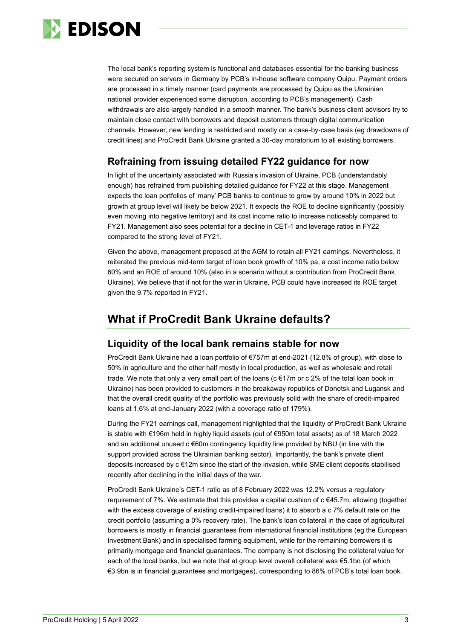

The local bank's reporting system is functional and databases essential for the banking business were secured on servers in Germany by PCB's in-house software company Quipu. Payment orders are processed in a timely manner (card payments are processed by Quipu as the Ukrainian national provider experienced some disruption, according to PCB's management). Cash withdrawals are also largely handled in a smooth manner. The bank's business client advisors try to maintain close contact with borrowers and deposit customers through digital communication channels. However, new lending is restricted and mostly on a case-by-case basis (eg drawdowns of credit lines) and ProCredit Bank Ukraine granted a 30-day moratorium to all existing borrowers.

## **Refraining from issuing detailed FY22 guidance for now**

In light of the uncertainty associated with Russia's invasion of Ukraine, PCB (understandably enough) has refrained from publishing detailed guidance for FY22 at this stage. Management expects the loan portfolios of 'many' PCB banks to continue to grow by around 10% in 2022 but growth at group level will likely be below 2021. It expects the ROE to decline significantly (possibly even moving into negative territory) and its cost income ratio to increase noticeably compared to FY21. Management also sees potential for a decline in CET-1 and leverage ratios in FY22 compared to the strong level of FY21.

Given the above, management proposed at the AGM to retain all FY21 earnings. Nevertheless, it reiterated the previous mid-term target of loan book growth of 10% pa, a cost income ratio below 60% and an ROE of around 10% (also in a scenario without a contribution from ProCredit Bank Ukraine). We believe that if not for the war in Ukraine, PCB could have increased its ROE target given the 9.7% reported in FY21.

# **What if ProCredit Bank Ukraine defaults?**

## **Liquidity of the local bank remains stable for now**

ProCredit Bank Ukraine had a loan portfolio of €757m at end-2021 (12.8% of group), with close to 50% in agriculture and the other half mostly in local production, as well as wholesale and retail trade. We note that only a very small part of the loans (c €17m or c 2% of the total loan book in Ukraine) has been provided to customers in the breakaway republics of Donetsk and Lugansk and that the overall credit quality of the portfolio was previously solid with the share of credit-impaired loans at 1.6% at end-January 2022 (with a coverage ratio of 179%).

During the FY21 earnings call, management highlighted that the liquidity of ProCredit Bank Ukraine is stable with €196m held in highly liquid assets (out of €950m total assets) as of 18 March 2022 and an additional unused c €60m contingency liquidity line provided by NBU (in line with the support provided across the Ukrainian banking sector). Importantly, the bank's private client deposits increased by c €12m since the start of the invasion, while SME client deposits stabilised recently after declining in the initial days of the war.

ProCredit Bank Ukraine's CET-1 ratio as of 8 February 2022 was 12.2% versus a regulatory requirement of 7%. We estimate that this provides a capital cushion of c €45.7m, allowing (together with the excess coverage of existing credit-impaired loans) it to absorb a c 7% default rate on the credit portfolio (assuming a 0% recovery rate). The bank's loan collateral in the case of agricultural borrowers is mostly in financial guarantees from international financial institutions (eg the European Investment Bank) and in specialised farming equipment, while for the remaining borrowers it is primarily mortgage and financial guarantees. The company is not disclosing the collateral value for each of the local banks, but we note that at group level overall collateral was €5.1bn (of which €3.9bn is in financial guarantees and mortgages), corresponding to 86% of PCB's total loan book.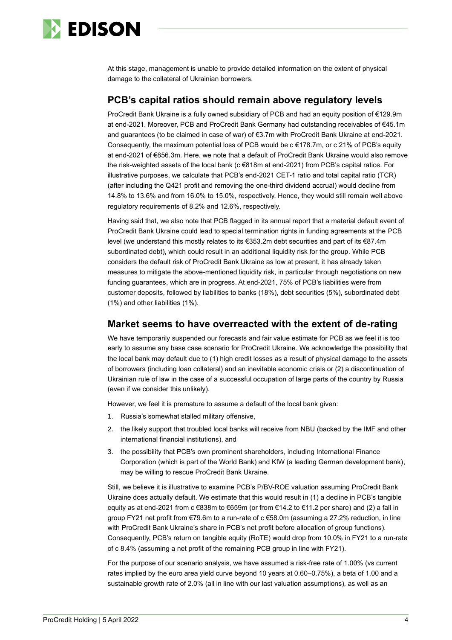

At this stage, management is unable to provide detailed information on the extent of physical damage to the collateral of Ukrainian borrowers.

## **PCB's capital ratios should remain above regulatory levels**

ProCredit Bank Ukraine is a fully owned subsidiary of PCB and had an equity position of €129.9m at end-2021. Moreover, PCB and ProCredit Bank Germany had outstanding receivables of €45.1m and guarantees (to be claimed in case of war) of €3.7m with ProCredit Bank Ukraine at end-2021. Consequently, the maximum potential loss of PCB would be c €178.7m, or c 21% of PCB's equity at end-2021 of €856.3m. Here, we note that a default of ProCredit Bank Ukraine would also remove the risk-weighted assets of the local bank (c €818m at end-2021) from PCB's capital ratios. For illustrative purposes, we calculate that PCB's end-2021 CET-1 ratio and total capital ratio (TCR) (after including the Q421 profit and removing the one-third dividend accrual) would decline from 14.8% to 13.6% and from 16.0% to 15.0%, respectively. Hence, they would still remain well above regulatory requirements of 8.2% and 12.6%, respectively.

Having said that, we also note that PCB flagged in its annual report that a material default event of ProCredit Bank Ukraine could lead to special termination rights in funding agreements at the PCB level (we understand this mostly relates to its €353.2m debt securities and part of its €87.4m subordinated debt), which could result in an additional liquidity risk for the group. While PCB considers the default risk of ProCredit Bank Ukraine as low at present, it has already taken measures to mitigate the above-mentioned liquidity risk, in particular through negotiations on new funding guarantees, which are in progress. At end-2021, 75% of PCB's liabilities were from customer deposits, followed by liabilities to banks (18%), debt securities (5%), subordinated debt (1%) and other liabilities (1%).

## **Market seems to have overreacted with the extent of de-rating**

We have temporarily suspended our forecasts and fair value estimate for PCB as we feel it is too early to assume any base case scenario for ProCredit Ukraine. We acknowledge the possibility that the local bank may default due to (1) high credit losses as a result of physical damage to the assets of borrowers (including loan collateral) and an inevitable economic crisis or (2) a discontinuation of Ukrainian rule of law in the case of a successful occupation of large parts of the country by Russia (even if we consider this unlikely).

However, we feel it is premature to assume a default of the local bank given:

- 1. Russia's somewhat stalled military offensive,
- 2. the likely support that troubled local banks will receive from NBU (backed by the IMF and other international financial institutions), and
- 3. the possibility that PCB's own prominent shareholders, including International Finance Corporation (which is part of the World Bank) and KfW (a leading German development bank), may be willing to rescue ProCredit Bank Ukraine.

Still, we believe it is illustrative to examine PCB's P/BV-ROE valuation assuming ProCredit Bank Ukraine does actually default. We estimate that this would result in (1) a decline in PCB's tangible equity as at end-2021 from  $c \in 838$ m to  $\in 659$ m (or from  $\in 14.2$  to  $\in 11.2$  per share) and (2) a fall in group FY21 net profit from €79.6m to a run-rate of c €58.0m (assuming a 27.2% reduction, in line with ProCredit Bank Ukraine's share in PCB's net profit before allocation of group functions). Consequently, PCB's return on tangible equity (RoTE) would drop from 10.0% in FY21 to a run-rate of c 8.4% (assuming a net profit of the remaining PCB group in line with FY21).

For the purpose of our scenario analysis, we have assumed a risk-free rate of 1.00% (vs current rates implied by the euro area yield curve beyond 10 years at 0.60–0.75%), a beta of 1.00 and a sustainable growth rate of 2.0% (all in line with our last valuation assumptions), as well as an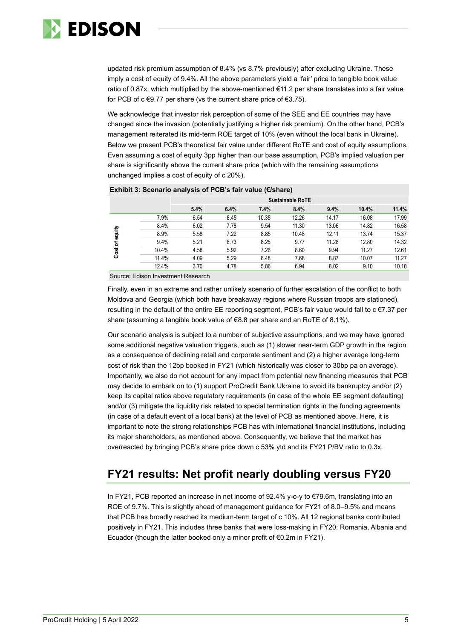

updated risk premium assumption of 8.4% (vs 8.7% previously) after excluding Ukraine. These imply a cost of equity of 9.4%. All the above parameters yield a 'fair' price to tangible book value ratio of 0.87x, which multiplied by the above-mentioned €11.2 per share translates into a fair value for PCB of  $c \in 9.77$  per share (vs the current share price of €3.75).

We acknowledge that investor risk perception of some of the SEE and EE countries may have changed since the invasion (potentially justifying a higher risk premium). On the other hand, PCB's management reiterated its mid-term ROE target of 10% (even without the local bank in Ukraine). Below we present PCB's theoretical fair value under different RoTE and cost of equity assumptions. Even assuming a cost of equity 3pp higher than our base assumption, PCB's implied valuation per share is significantly above the current share price (which with the remaining assumptions unchanged implies a cost of equity of c 20%).

|                   |       | <b>Sustainable RoTE</b> |      |       |       |       |       |       |
|-------------------|-------|-------------------------|------|-------|-------|-------|-------|-------|
|                   |       | 5.4%                    | 6.4% | 7.4%  | 8.4%  | 9.4%  | 10.4% | 11.4% |
| of equity<br>Cost | 7.9%  | 6.54                    | 8.45 | 10.35 | 12.26 | 14.17 | 16.08 | 17.99 |
|                   | 8.4%  | 6.02                    | 7.78 | 9.54  | 11.30 | 13.06 | 14.82 | 16.58 |
|                   | 8.9%  | 5.58                    | 7.22 | 8.85  | 10.48 | 12.11 | 13.74 | 15.37 |
|                   | 9.4%  | 5.21                    | 6.73 | 8.25  | 9.77  | 11.28 | 12.80 | 14.32 |
|                   | 10.4% | 4.58                    | 5.92 | 7.26  | 8.60  | 9.94  | 11.27 | 12.61 |
|                   | 11.4% | 4.09                    | 5.29 | 6.48  | 7.68  | 8.87  | 10.07 | 11.27 |
|                   | 12.4% | 3.70                    | 4.78 | 5.86  | 6.94  | 8.02  | 9.10  | 10.18 |

## **Exhibit 3: Scenario analysis of PCB's fair value (€/share)**

Source: Edison Investment Research

Finally, even in an extreme and rather unlikely scenario of further escalation of the conflict to both Moldova and Georgia (which both have breakaway regions where Russian troops are stationed), resulting in the default of the entire EE reporting segment, PCB's fair value would fall to c €7.37 per share (assuming a tangible book value of €8.8 per share and an RoTE of 8.1%).

Our scenario analysis is subject to a number of subjective assumptions, and we may have ignored some additional negative valuation triggers, such as (1) slower near-term GDP growth in the region as a consequence of declining retail and corporate sentiment and (2) a higher average long-term cost of risk than the 12bp booked in FY21 (which historically was closer to 30bp pa on average). Importantly, we also do not account for any impact from potential new financing measures that PCB may decide to embark on to (1) support ProCredit Bank Ukraine to avoid its bankruptcy and/or (2) keep its capital ratios above regulatory requirements (in case of the whole EE segment defaulting) and/or (3) mitigate the liquidity risk related to special termination rights in the funding agreements (in case of a default event of a local bank) at the level of PCB as mentioned above. Here, it is important to note the strong relationships PCB has with international financial institutions, including its major shareholders, as mentioned above. Consequently, we believe that the market has overreacted by bringing PCB's share price down c 53% ytd and its FY21 P/BV ratio to 0.3x.

# **FY21 results: Net profit nearly doubling versus FY20**

In FY21, PCB reported an increase in net income of 92.4% y-o-y to €79.6m, translating into an ROE of 9.7%. This is slightly ahead of management guidance for FY21 of 8.0–9.5% and means that PCB has broadly reached its medium-term target of c 10%. All 12 regional banks contributed positively in FY21. This includes three banks that were loss-making in FY20: Romania, Albania and Ecuador (though the latter booked only a minor profit of €0.2m in FY21).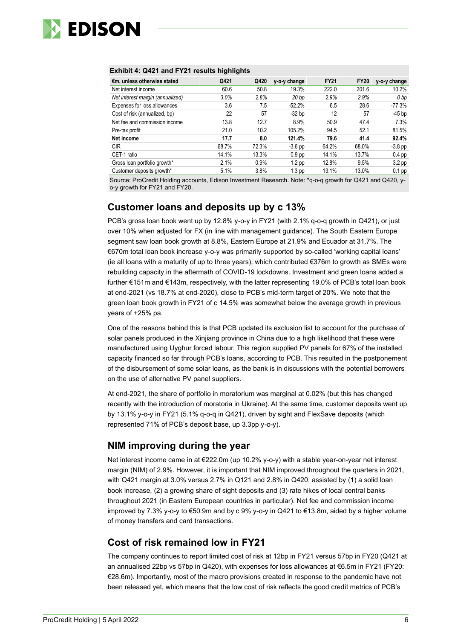

### **Exhibit 4: Q421 and FY21 results highlights**

| €m, unless otherwise stated      | Q421  | Q420    | y-o-y change      | <b>FY21</b> | <b>FY20</b> | y-o-y change      |
|----------------------------------|-------|---------|-------------------|-------------|-------------|-------------------|
| Net interest income              | 60.6  | 50.8    | 19.3%             | 222.0       | 201.6       | 10.2%             |
| Net interest margin (annualized) | 3.0%  | 2.8%    | 20 <sub>bp</sub>  | 2.9%        | 2.9%        | 0 <sub>bp</sub>   |
| Expenses for loss allowances     | 3.6   | 7.5     | $-52.2%$          | 6.5         | 28.6        | -77.3%            |
| Cost of risk (annualized, bp)    | 22    | 57      | $-32$ bp          | 12          | 57          | $-45$ bp          |
| Net fee and commission income    | 13.8  | 12.7    | 8.9%              | 50.9        | 47.4        | 7.3%              |
| Pre-tax profit                   | 21.0  | 10.2    | 105.2%            | 94.5        | 52.1        | 81.5%             |
| Net income                       | 17.7  | 8.0     | 121.4%            | 79.6        | 41.4        | 92.4%             |
| <b>CIR</b>                       | 68.7% | 72.3%   | $-3.6$ pp         | 64.2%       | 68.0%       | $-3.8$ pp         |
| CET-1 ratio                      | 14.1% | 13.3%   | 0.9 <sub>pp</sub> | 14.1%       | 13.7%       | $0.4$ pp          |
| Gross loan portfolio growth*     | 2.1%  | $0.9\%$ | 1.2 <sub>pp</sub> | 12.8%       | 9.5%        | 3.2 <sub>pp</sub> |
| Customer deposits growth*        | 5.1%  | 3.8%    | 1.3 <sub>pp</sub> | 13.1%       | 13.0%       | $0.1$ pp          |

Source: ProCredit Holding accounts, Edison Investment Research. Note: \*q-o-q growth for Q421 and Q420, yo-y growth for FY21 and FY20.

## **Customer loans and deposits up by c 13%**

PCB's gross loan book went up by 12.8% y-o-y in FY21 (with 2.1% q-o-q growth in Q421), or just over 10% when adjusted for FX (in line with management guidance). The South Eastern Europe segment saw loan book growth at 8.8%, Eastern Europe at 21.9% and Ecuador at 31.7%. The €670m total loan book increase y-o-y was primarily supported by so-called 'working capital loans' (ie all loans with a maturity of up to three years), which contributed €376m to growth as SMEs were rebuilding capacity in the aftermath of COVID-19 lockdowns. Investment and green loans added a further €151m and €143m, respectively, with the latter representing 19.0% of PCB's total loan book at end-2021 (vs 18.7% at end-2020), close to PCB's mid-term target of 20%. We note that the green loan book growth in FY21 of c 14.5% was somewhat below the average growth in previous years of +25% pa.

One of the reasons behind this is that PCB updated its exclusion list to account for the purchase of solar panels produced in the Xinjiang province in China due to a high likelihood that these were manufactured using Uyghur forced labour. This region supplied PV panels for 67% of the installed capacity financed so far through PCB's loans, according to PCB. This resulted in the postponement of the disbursement of some solar loans, as the bank is in discussions with the potential borrowers on the use of alternative PV panel suppliers.

At end-2021, the share of portfolio in moratorium was marginal at 0.02% (but this has changed recently with the introduction of moratoria in Ukraine). At the same time, customer deposits went up by 13.1% y-o-y in FY21 (5.1% q-o-q in Q421), driven by sight and FlexSave deposits (which represented 71% of PCB's deposit base, up 3.3pp y-o-y).

## **NIM improving during the year**

Net interest income came in at €222.0m (up 10.2% y-o-y) with a stable year-on-year net interest margin (NIM) of 2.9%. However, it is important that NIM improved throughout the quarters in 2021, with Q421 margin at 3.0% versus 2.7% in Q121 and 2.8% in Q420, assisted by (1) a solid loan book increase, (2) a growing share of sight deposits and (3) rate hikes of local central banks throughout 2021 (in Eastern European countries in particular). Net fee and commission income improved by 7.3% y-o-y to €50.9m and by c 9% y-o-y in Q421 to €13.8m, aided by a higher volume of money transfers and card transactions.

## **Cost of risk remained low in FY21**

The company continues to report limited cost of risk at 12bp in FY21 versus 57bp in FY20 (Q421 at an annualised 22bp vs 57bp in Q420), with expenses for loss allowances at €6.5m in FY21 (FY20: €28.6m). Importantly, most of the macro provisions created in response to the pandemic have not been released yet, which means that the low cost of risk reflects the good credit metrics of PCB's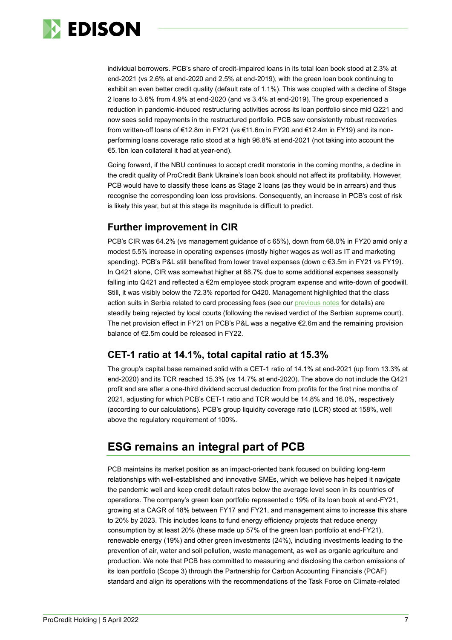

individual borrowers. PCB's share of credit-impaired loans in its total loan book stood at 2.3% at end-2021 (vs 2.6% at end-2020 and 2.5% at end-2019), with the green loan book continuing to exhibit an even better credit quality (default rate of 1.1%). This was coupled with a decline of Stage 2 loans to 3.6% from 4.9% at end-2020 (and vs 3.4% at end-2019). The group experienced a reduction in pandemic-induced restructuring activities across its loan portfolio since mid Q221 and now sees solid repayments in the restructured portfolio. PCB saw consistently robust recoveries from written-off loans of €12.8m in FY21 (vs €11.6m in FY20 and €12.4m in FY19) and its nonperforming loans coverage ratio stood at a high 96.8% at end-2021 (not taking into account the €5.1bn loan collateral it had at year-end).

Going forward, if the NBU continues to accept credit moratoria in the coming months, a decline in the credit quality of ProCredit Bank Ukraine's loan book should not affect its profitability. However, PCB would have to classify these loans as Stage 2 loans (as they would be in arrears) and thus recognise the corresponding loan loss provisions. Consequently, an increase in PCB's cost of risk is likely this year, but at this stage its magnitude is difficult to predict.

## **Further improvement in CIR**

PCB's CIR was 64.2% (vs management guidance of c 65%), down from 68.0% in FY20 amid only a modest 5.5% increase in operating expenses (mostly higher wages as well as IT and marketing spending). PCB's P&L still benefited from lower travel expenses (down c €3.5m in FY21 vs FY19). In Q421 alone, CIR was somewhat higher at 68.7% due to some additional expenses seasonally falling into Q421 and reflected a €2m employee stock program expense and write-down of goodwill. Still, it was visibly below the 72.3% reported for Q420. Management highlighted that the class action suits in Serbia related to card processing fees (see our [previous notes](https://www.edisongroup.com/company/procredit-holding/) for details) are steadily being rejected by local courts (following the revised verdict of the Serbian supreme court). The net provision effect in FY21 on PCB's P&L was a negative €2.6m and the remaining provision balance of €2.5m could be released in FY22.

## **CET-1 ratio at 14.1%, total capital ratio at 15.3%**

The group's capital base remained solid with a CET-1 ratio of 14.1% at end-2021 (up from 13.3% at end-2020) and its TCR reached 15.3% (vs 14.7% at end-2020). The above do not include the Q421 profit and are after a one-third dividend accrual deduction from profits for the first nine months of 2021, adjusting for which PCB's CET-1 ratio and TCR would be 14.8% and 16.0%, respectively (according to our calculations). PCB's group liquidity coverage ratio (LCR) stood at 158%, well above the regulatory requirement of 100%.

# **ESG remains an integral part of PCB**

PCB maintains its market position as an impact-oriented bank focused on building long-term relationships with well-established and innovative SMEs, which we believe has helped it navigate the pandemic well and keep credit default rates below the average level seen in its countries of operations. The company's green loan portfolio represented c 19% of its loan book at end-FY21, growing at a CAGR of 18% between FY17 and FY21, and management aims to increase this share to 20% by 2023. This includes loans to fund energy efficiency projects that reduce energy consumption by at least 20% (these made up 57% of the green loan portfolio at end-FY21), renewable energy (19%) and other green investments (24%), including investments leading to the prevention of air, water and soil pollution, waste management, as well as organic agriculture and production. We note that PCB has committed to measuring and disclosing the carbon emissions of its loan portfolio (Scope 3) through the Partnership for Carbon Accounting Financials (PCAF) standard and align its operations with the recommendations of the Task Force on Climate-related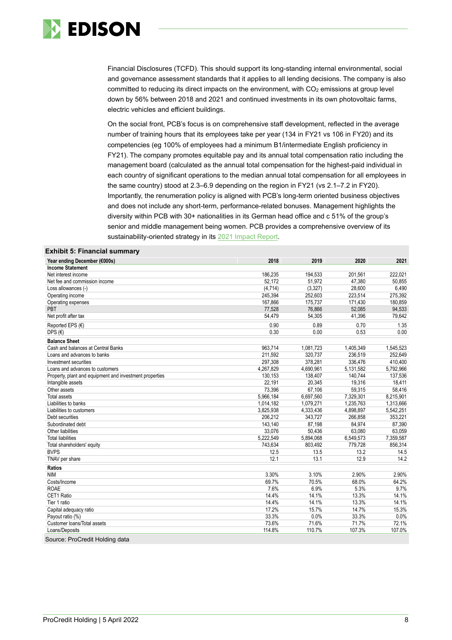

Financial Disclosures (TCFD). This should support its long-standing internal environmental, social and governance assessment standards that it applies to all lending decisions. The company is also committed to reducing its direct impacts on the environment, with  $CO<sub>2</sub>$  emissions at group level down by 56% between 2018 and 2021 and continued investments in its own photovoltaic farms, electric vehicles and efficient buildings.

On the social front, PCB's focus is on comprehensive staff development, reflected in the average number of training hours that its employees take per year (134 in FY21 vs 106 in FY20) and its competencies (eg 100% of employees had a minimum B1/intermediate English proficiency in FY21). The company promotes equitable pay and its annual total compensation ratio including the management board (calculated as the annual total compensation for the highest-paid individual in each country of significant operations to the median annual total compensation for all employees in the same country) stood at 2.3–6.9 depending on the region in FY21 (vs 2.1–7.2 in FY20). Importantly, the renumeration policy is aligned with PCB's long-term oriented business objectives and does not include any short-term, performance-related bonuses. Management highlights the diversity within PCB with 30+ nationalities in its German head office and c 51% of the group's senior and middle management being women. PCB provides a comprehensive overview of its sustainability-oriented strategy in its [2021 Impact Report.](https://www.procredit-holding.com/investor-relations/reports-and-publications/non-financial-reports/)

### **Exhibit 5: Financial summary**

| Year ending December (€000s)                            | 2018      | 2019      | 2020      | 2021      |
|---------------------------------------------------------|-----------|-----------|-----------|-----------|
| <b>Income Statement</b>                                 |           |           |           |           |
| Net interest income                                     | 186,235   | 194,533   | 201,561   | 222,021   |
| Net fee and commission income                           | 52,172    | 51,972    | 47,380    | 50,855    |
| Loss allowances (-)                                     | (4, 714)  | (3, 327)  | 28,600    | 6,490     |
| Operating income                                        | 245.394   | 252,603   | 223,514   | 275,392   |
| Operating expenses                                      | 167,866   | 175.737   | 171,430   | 180.859   |
| PBT                                                     | 77,528    | 76,866    | 52.085    | 94,533    |
| Net profit after tax                                    | 54,479    | 54,305    | 41,396    | 79,642    |
| Reported EPS (€)                                        | 0.90      | 0.89      | 0.70      | 1.35      |
| DPS $(\epsilon)$                                        | 0.30      | 0.00      | 0.53      | 0.00      |
| <b>Balance Sheet</b>                                    |           |           |           |           |
| Cash and balances at Central Banks                      | 963.714   | 1.081.723 | 1.405.349 | 1.545.523 |
| Loans and advances to banks                             | 211,592   | 320,737   | 236,519   | 252,649   |
| Investment securities                                   | 297,308   | 378,281   | 336,476   | 410,400   |
| Loans and advances to customers                         | 4,267,829 | 4,690,961 | 5,131,582 | 5,792,966 |
| Property, plant and equipment and investment properties | 130,153   | 138,407   | 140,744   | 137,536   |
| Intangible assets                                       | 22,191    | 20,345    | 19,316    | 18,411    |
| Other assets                                            | 73,396    | 67,106    | 59,315    | 58,416    |
| <b>Total assets</b>                                     | 5,966,184 | 6,697,560 | 7,329,301 | 8,215,901 |
| Liabilities to banks                                    | 1,014,182 | 1,079,271 | 1,235,763 | 1,313,666 |
| Liabilities to customers                                | 3,825,938 | 4,333,436 | 4,898,897 | 5,542,251 |
| Debt securities                                         | 206,212   | 343,727   | 266,858   | 353,221   |
| Subordinated debt                                       | 143,140   | 87,198    | 84,974    | 87,390    |
| Other liabilities                                       | 33,076    | 50,436    | 63,080    | 63,059    |
| <b>Total liabilities</b>                                | 5.222.549 | 5,894,068 | 6,549,573 | 7,359,587 |
| Total shareholders' equity                              | 743.634   | 803,492   | 779.728   | 856,314   |
| <b>BVPS</b>                                             | 12.5      | 13.5      | 13.2      | 14.5      |
| TNAV per share                                          | 12.1      | 13.1      | 12.9      | 14.2      |
| Ratios                                                  |           |           |           |           |
| <b>NIM</b>                                              | 3.30%     | 3.10%     | 2.90%     | 2.90%     |
| Costs/Income                                            | 69.7%     | 70.5%     | 68.0%     | 64.2%     |
| <b>ROAE</b>                                             | 7.6%      | 6.9%      | 5.3%      | 9.7%      |
| CET1 Ratio                                              | 14.4%     | 14.1%     | 13.3%     | 14.1%     |
| Tier 1 ratio                                            | 14.4%     | 14.1%     | 13.3%     | 14.1%     |
| Capital adequacy ratio                                  | 17.2%     | 15.7%     | 14.7%     | 15.3%     |
| Payout ratio (%)                                        | 33.3%     | 0.0%      | 33.3%     | 0.0%      |
| Customer loans/Total assets                             | 73.6%     | 71.6%     | 71.7%     | 72.1%     |
| Loans/Deposits                                          | 114.8%    | 110.7%    | 107.3%    | 107.0%    |
| Source: ProCredit Holding data                          |           |           |           |           |